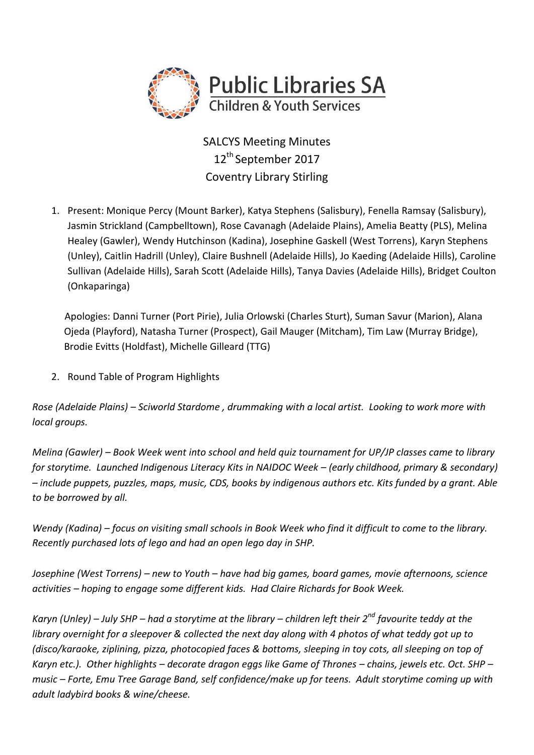

SALCYS Meeting Minutes 12<sup>th</sup> September 2017 Coventry Library Stirling

1. Present: Monique Percy (Mount Barker), Katya Stephens (Salisbury), Fenella Ramsay (Salisbury), Jasmin Strickland (Campbelltown), Rose Cavanagh (Adelaide Plains), Amelia Beatty (PLS), Melina Healey (Gawler), Wendy Hutchinson (Kadina), Josephine Gaskell (West Torrens), Karyn Stephens (Unley), Caitlin Hadrill (Unley), Claire Bushnell (Adelaide Hills), Jo Kaeding (Adelaide Hills), Caroline Sullivan (Adelaide Hills), Sarah Scott (Adelaide Hills), Tanya Davies (Adelaide Hills), Bridget Coulton (Onkaparinga)

Apologies: Danni Turner (Port Pirie), Julia Orlowski (Charles Sturt), Suman Savur (Marion), Alana Ojeda (Playford), Natasha Turner (Prospect), Gail Mauger (Mitcham), Tim Law (Murray Bridge), Brodie Evitts (Holdfast), Michelle Gilleard (TTG)

2. Round Table of Program Highlights

*Rose (Adelaide Plains) – Sciworld Stardome , drummaking with a local artist. Looking to work more with local groups.*

*Melina (Gawler) – Book Week went into school and held quiz tournament for UP/JP classes came to library for storytime. Launched Indigenous Literacy Kits in NAIDOC Week – (early childhood, primary & secondary) – include puppets, puzzles, maps, music, CDS, books by indigenous authors etc. Kits funded by a grant. Able to be borrowed by all.*

*Wendy (Kadina) – focus on visiting small schools in Book Week who find it difficult to come to the library. Recently purchased lots of lego and had an open lego day in SHP.*

*Josephine (West Torrens) – new to Youth – have had big games, board games, movie afternoons, science activities – hoping to engage some different kids. Had Claire Richards for Book Week.* 

*Karyn (Unley) – July SHP – had a storytime at the library – children left their 2nd favourite teddy at the library overnight for a sleepover & collected the next day along with 4 photos of what teddy got up to (disco/karaoke, ziplining, pizza, photocopied faces & bottoms, sleeping in toy cots, all sleeping on top of Karyn etc.). Other highlights – decorate dragon eggs like Game of Thrones – chains, jewels etc. Oct. SHP – music – Forte, Emu Tree Garage Band, self confidence/make up for teens. Adult storytime coming up with adult ladybird books & wine/cheese.*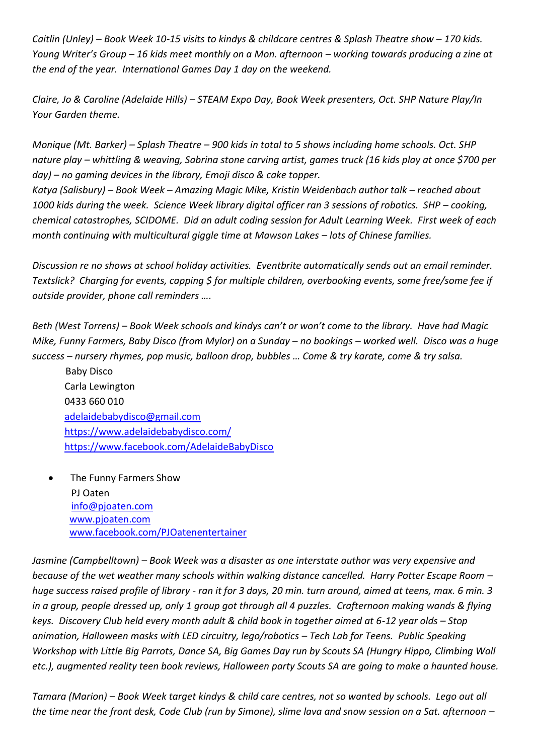*Caitlin (Unley) – Book Week 10-15 visits to kindys & childcare centres & Splash Theatre show – 170 kids. Young Writer's Group – 16 kids meet monthly on a Mon. afternoon – working towards producing a zine at the end of the year. International Games Day 1 day on the weekend.*

*Claire, Jo & Caroline (Adelaide Hills) – STEAM Expo Day, Book Week presenters, Oct. SHP Nature Play/In Your Garden theme.*

*Monique (Mt. Barker) – Splash Theatre – 900 kids in total to 5 shows including home schools. Oct. SHP nature play – whittling & weaving, Sabrina stone carving artist, games truck (16 kids play at once \$700 per day) – no gaming devices in the library, Emoji disco & cake topper.*

*Katya (Salisbury) – Book Week – Amazing Magic Mike, Kristin Weidenbach author talk – reached about*  1000 kids during the week. Science Week library digital officer ran 3 sessions of robotics. SHP – cooking, *chemical catastrophes, SCIDOME. Did an adult coding session for Adult Learning Week. First week of each month continuing with multicultural giggle time at Mawson Lakes – lots of Chinese families.* 

*Discussion re no shows at school holiday activities. Eventbrite automatically sends out an email reminder. Textslick? Charging for events, capping \$ for multiple children, overbooking events, some free/some fee if outside provider, phone call reminders ….*

*Beth (West Torrens) – Book Week schools and kindys can't or won't come to the library. Have had Magic Mike, Funny Farmers, Baby Disco (from Mylor) on a Sunday – no bookings – worked well. Disco was a huge success – nursery rhymes, pop music, balloon drop, bubbles … Come & try karate, come & try salsa.*

 Baby Disco Carla Lewington 0433 660 010 [adelaidebabydisco@gmail.com](mailto:adelaidebabydisco@gmail.com) <https://www.adelaidebabydisco.com/> <https://www.facebook.com/AdelaideBabyDisco>

 The Funny Farmers Show PJ Oaten [info@pjoaten.com](mailto:info@pjoaten.com) [www.pjoaten.com](http://www.pjoaten.com/) [www.facebook.com/PJOatenentertainer](http://www.facebook.com/PJOatenentertainer)

*Jasmine (Campbelltown) – Book Week was a disaster as one interstate author was very expensive and because of the wet weather many schools within walking distance cancelled. Harry Potter Escape Room – huge success raised profile of library - ran it for 3 days, 20 min. turn around, aimed at teens, max. 6 min. 3 in a group, people dressed up, only 1 group got through all 4 puzzles. Crafternoon making wands & flying keys. Discovery Club held every month adult & child book in together aimed at 6-12 year olds – Stop animation, Halloween masks with LED circuitry, lego/robotics – Tech Lab for Teens. Public Speaking Workshop with Little Big Parrots, Dance SA, Big Games Day run by Scouts SA (Hungry Hippo, Climbing Wall etc.), augmented reality teen book reviews, Halloween party Scouts SA are going to make a haunted house.*

*Tamara (Marion) – Book Week target kindys & child care centres, not so wanted by schools. Lego out all the time near the front desk, Code Club (run by Simone), slime lava and snow session on a Sat. afternoon –*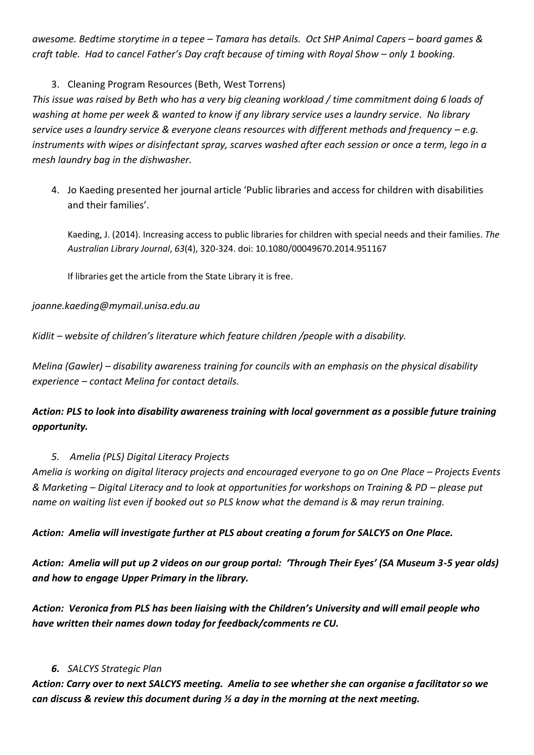*awesome. Bedtime storytime in a tepee – Tamara has details. Oct SHP Animal Capers – board games & craft table. Had to cancel Father's Day craft because of timing with Royal Show – only 1 booking.*

3. Cleaning Program Resources (Beth, West Torrens)

*This issue was raised by Beth who has a very big cleaning workload / time commitment doing 6 loads of washing at home per week & wanted to know if any library service uses a laundry service. No library service uses a laundry service & everyone cleans resources with different methods and frequency – e.g. instruments with wipes or disinfectant spray, scarves washed after each session or once a term, lego in a mesh laundry bag in the dishwasher.* 

4. Jo Kaeding presented her journal article 'Public libraries and access for children with disabilities and their families'.

Kaeding, J. (2014). [Increasing access to public libraries for children with special needs and their families.](http://www.tandfonline.com/doi/abs/10.1080/00049670.2014.951167) *[The](http://www.tandfonline.com/toc/ualj20/63/4)  [Australian Library Journal](http://www.tandfonline.com/toc/ualj20/63/4)*, *63*(4), 320-324. doi: [10.1080/00049670.2014.951167](http://search.library.unisa.edu.au/?redirect=http://dx.doi.org/10.1080%2f00049670.2014.951167)

If libraries get the article from the State Library it is free.

*joanne.kaeding@mymail.unisa.edu.au*

*Kidlit – website of children's literature which feature children /people with a disability.* 

*Melina (Gawler) – disability awareness training for councils with an emphasis on the physical disability experience – contact Melina for contact details.* 

# *Action: PLS to look into disability awareness training with local government as a possible future training opportunity.*

## *5. Amelia (PLS) Digital Literacy Projects*

*Amelia is working on digital literacy projects and encouraged everyone to go on One Place – Projects Events & Marketing – Digital Literacy and to look at opportunities for workshops on Training & PD – please put name on waiting list even if booked out so PLS know what the demand is & may rerun training.*

*Action: Amelia will investigate further at PLS about creating a forum for SALCYS on One Place.*

*Action: Amelia will put up 2 videos on our group portal: 'Through Their Eyes' (SA Museum 3-5 year olds) and how to engage Upper Primary in the library.*

*Action: Veronica from PLS has been liaising with the Children's University and will email people who have written their names down today for feedback/comments re CU.*

## *6. SALCYS Strategic Plan*

*Action: Carry over to next SALCYS meeting. Amelia to see whether she can organise a facilitator so we can discuss & review this document during ½ a day in the morning at the next meeting.*